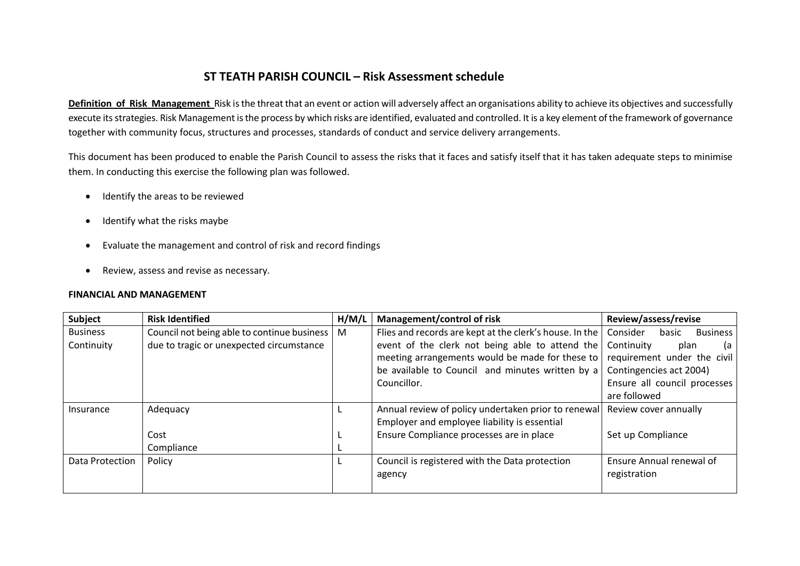## **ST TEATH PARISH COUNCIL – Risk Assessment schedule**

**Definition of Risk Management** Risk is the threat that an event or action will adversely affect an organisations ability to achieve its objectives and successfully execute its strategies. Risk Management is the process by which risks are identified, evaluated and controlled. It is a key element of the framework of governance together with community focus, structures and processes, standards of conduct and service delivery arrangements.

This document has been produced to enable the Parish Council to assess the risks that it faces and satisfy itself that it has taken adequate steps to minimise them. In conducting this exercise the following plan was followed.

- · Identify the areas to be reviewed
- · Identify what the risks maybe
- · Evaluate the management and control of risk and record findings
- · Review, assess and revise as necessary.

## **FINANCIAL AND MANAGEMENT**

| Subject         | <b>Risk Identified</b>                      | H/M/L | Management/control of risk                              | Review/assess/revise                 |
|-----------------|---------------------------------------------|-------|---------------------------------------------------------|--------------------------------------|
| <b>Business</b> | Council not being able to continue business | M     | Flies and records are kept at the clerk's house. In the | Consider<br><b>Business</b><br>basic |
| Continuity      | due to tragic or unexpected circumstance    |       | event of the clerk not being able to attend the         | Continuity<br>plan<br>(a             |
|                 |                                             |       | meeting arrangements would be made for these to         | requirement under the civil          |
|                 |                                             |       | be available to Council and minutes written by a        | Contingencies act 2004)              |
|                 |                                             |       | Councillor.                                             | Ensure all council processes         |
|                 |                                             |       |                                                         | are followed                         |
| Insurance       | Adequacy                                    |       | Annual review of policy undertaken prior to renewal     | Review cover annually                |
|                 |                                             |       | Employer and employee liability is essential            |                                      |
|                 | Cost                                        |       | Ensure Compliance processes are in place                | Set up Compliance                    |
|                 | Compliance                                  |       |                                                         |                                      |
| Data Protection | Policy                                      |       | Council is registered with the Data protection          | Ensure Annual renewal of             |
|                 |                                             |       | agency                                                  | registration                         |
|                 |                                             |       |                                                         |                                      |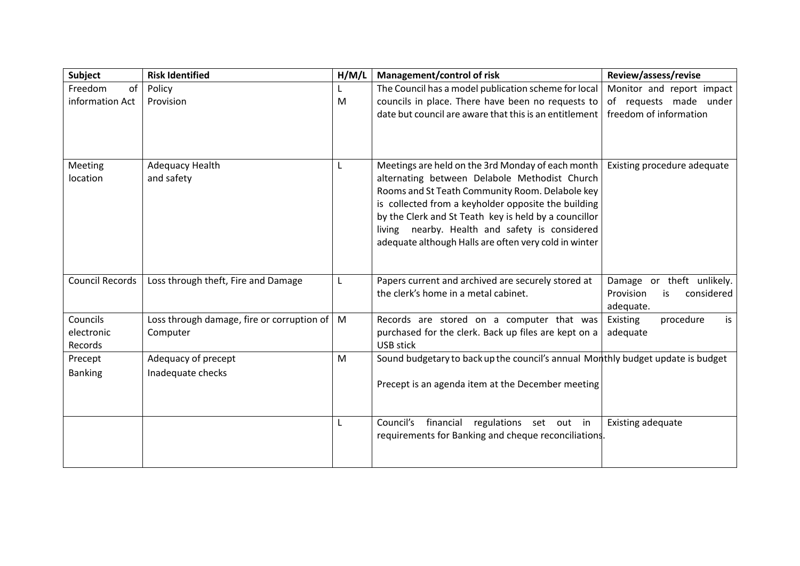| Subject                           | <b>Risk Identified</b>                                 | H/M/L | <b>Management/control of risk</b>                                                                                                                                                                                                                                                                                                                                                | Review/assess/revise                                                    |
|-----------------------------------|--------------------------------------------------------|-------|----------------------------------------------------------------------------------------------------------------------------------------------------------------------------------------------------------------------------------------------------------------------------------------------------------------------------------------------------------------------------------|-------------------------------------------------------------------------|
| of<br>Freedom                     | Policy                                                 |       | The Council has a model publication scheme for local                                                                                                                                                                                                                                                                                                                             | Monitor and report impact                                               |
| information Act                   | Provision                                              | M     | councils in place. There have been no requests to                                                                                                                                                                                                                                                                                                                                | of requests made under                                                  |
|                                   |                                                        |       | date but council are aware that this is an entitlement                                                                                                                                                                                                                                                                                                                           | freedom of information                                                  |
| Meeting<br>location               | Adequacy Health<br>and safety                          |       | Meetings are held on the 3rd Monday of each month<br>alternating between Delabole Methodist Church<br>Rooms and St Teath Community Room. Delabole key<br>is collected from a keyholder opposite the building<br>by the Clerk and St Teath key is held by a councillor<br>living nearby. Health and safety is considered<br>adequate although Halls are often very cold in winter | Existing procedure adequate                                             |
| <b>Council Records</b>            | Loss through theft, Fire and Damage                    |       | Papers current and archived are securely stored at<br>the clerk's home in a metal cabinet.                                                                                                                                                                                                                                                                                       | Damage or theft unlikely.<br>Provision<br>considered<br>is<br>adequate. |
| Councils<br>electronic<br>Records | Loss through damage, fire or corruption of<br>Computer | M     | Records are stored on a computer that was<br>purchased for the clerk. Back up files are kept on a<br><b>USB stick</b>                                                                                                                                                                                                                                                            | Existing<br>procedure<br>is<br>adequate                                 |
| Precept<br><b>Banking</b>         | Adequacy of precept<br>Inadequate checks               | M     | Sound budgetary to back up the council's annual Monthly budget update is budget<br>Precept is an agenda item at the December meeting                                                                                                                                                                                                                                             |                                                                         |
|                                   |                                                        |       | Council's financial regulations set out in<br>requirements for Banking and cheque reconciliations.                                                                                                                                                                                                                                                                               | Existing adequate                                                       |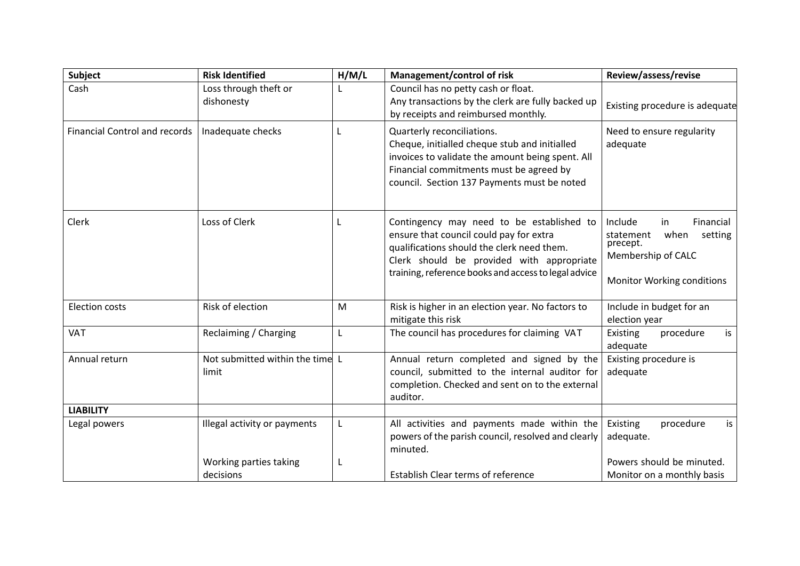| Subject                              | <b>Risk Identified</b>                   | H/M/L | Management/control of risk                                                                                                                                                                                                              | Review/assess/revise                                                                                                       |
|--------------------------------------|------------------------------------------|-------|-----------------------------------------------------------------------------------------------------------------------------------------------------------------------------------------------------------------------------------------|----------------------------------------------------------------------------------------------------------------------------|
| Cash                                 | Loss through theft or<br>dishonesty      |       | Council has no petty cash or float.<br>Any transactions by the clerk are fully backed up<br>by receipts and reimbursed monthly.                                                                                                         | Existing procedure is adequate                                                                                             |
| <b>Financial Control and records</b> | Inadequate checks                        |       | Quarterly reconciliations.<br>Cheque, initialled cheque stub and initialled<br>invoices to validate the amount being spent. All<br>Financial commitments must be agreed by<br>council. Section 137 Payments must be noted               | Need to ensure regularity<br>adequate                                                                                      |
| Clerk                                | Loss of Clerk                            | L     | Contingency may need to be established to<br>ensure that council could pay for extra<br>qualifications should the clerk need them.<br>Clerk should be provided with appropriate<br>training, reference books and access to legal advice | Include<br>in<br>Financial<br>statement<br>when<br>setting<br>precept.<br>Membership of CALC<br>Monitor Working conditions |
| <b>Election costs</b>                | Risk of election                         | M     | Risk is higher in an election year. No factors to<br>mitigate this risk                                                                                                                                                                 | Include in budget for an<br>election year                                                                                  |
| <b>VAT</b>                           | Reclaiming / Charging                    |       | The council has procedures for claiming VAT                                                                                                                                                                                             | Existing<br>procedure<br>is<br>adequate                                                                                    |
| Annual return                        | Not submitted within the time L<br>limit |       | Annual return completed and signed by the<br>council, submitted to the internal auditor for<br>completion. Checked and sent on to the external<br>auditor.                                                                              | Existing procedure is<br>adequate                                                                                          |
| <b>LIABILITY</b>                     |                                          |       |                                                                                                                                                                                                                                         |                                                                                                                            |
| Legal powers                         | Illegal activity or payments             |       | All activities and payments made within the<br>powers of the parish council, resolved and clearly<br>minuted.                                                                                                                           | Existing<br>procedure<br>is<br>adequate.                                                                                   |
|                                      | Working parties taking                   |       |                                                                                                                                                                                                                                         | Powers should be minuted.                                                                                                  |
|                                      | decisions                                |       | Establish Clear terms of reference                                                                                                                                                                                                      | Monitor on a monthly basis                                                                                                 |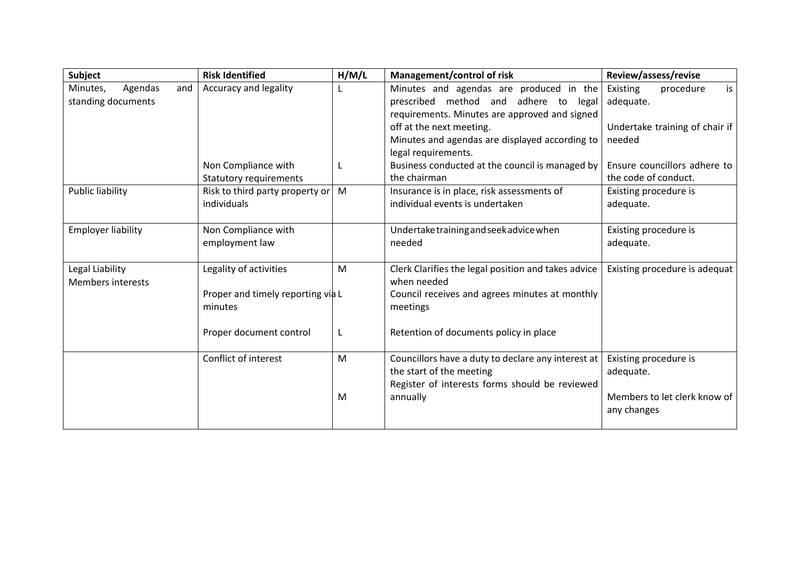| <b>Subject</b>             | <b>Risk Identified</b>            | H/M/L | Management/control of risk                          | Review/assess/revise           |
|----------------------------|-----------------------------------|-------|-----------------------------------------------------|--------------------------------|
| Minutes,<br>Agendas<br>and | Accuracy and legality             |       | Minutes and agendas are produced in the             | Existing<br>procedure<br>is    |
| standing documents         |                                   |       | prescribed method and adhere to legal               | adequate.                      |
|                            |                                   |       | requirements. Minutes are approved and signed       |                                |
|                            |                                   |       | off at the next meeting.                            | Undertake training of chair if |
|                            |                                   |       | Minutes and agendas are displayed according to      | needed                         |
|                            |                                   |       | legal requirements.                                 |                                |
|                            | Non Compliance with               |       | Business conducted at the council is managed by     | Ensure councillors adhere to   |
|                            | <b>Statutory requirements</b>     |       | the chairman                                        | the code of conduct.           |
| <b>Public liability</b>    | Risk to third party property or   | M     | Insurance is in place, risk assessments of          | Existing procedure is          |
|                            | individuals                       |       | individual events is undertaken                     | adequate.                      |
|                            |                                   |       |                                                     |                                |
| <b>Employer liability</b>  | Non Compliance with               |       | Undertake training and seek advice when             | Existing procedure is          |
|                            | employment law                    |       | needed                                              | adequate.                      |
|                            |                                   |       |                                                     |                                |
| Legal Liability            | Legality of activities            | M     | Clerk Clarifies the legal position and takes advice | Existing procedure is adequat  |
| <b>Members interests</b>   |                                   |       | when needed                                         |                                |
|                            | Proper and timely reporting via L |       | Council receives and agrees minutes at monthly      |                                |
|                            | minutes                           |       | meetings                                            |                                |
|                            | Proper document control           |       | Retention of documents policy in place              |                                |
|                            |                                   |       |                                                     |                                |
|                            | Conflict of interest              | M     | Councillors have a duty to declare any interest at  | Existing procedure is          |
|                            |                                   |       | the start of the meeting                            | adequate.                      |
|                            |                                   |       | Register of interests forms should be reviewed      |                                |
|                            |                                   | M     | annually                                            | Members to let clerk know of   |
|                            |                                   |       |                                                     | any changes                    |
|                            |                                   |       |                                                     |                                |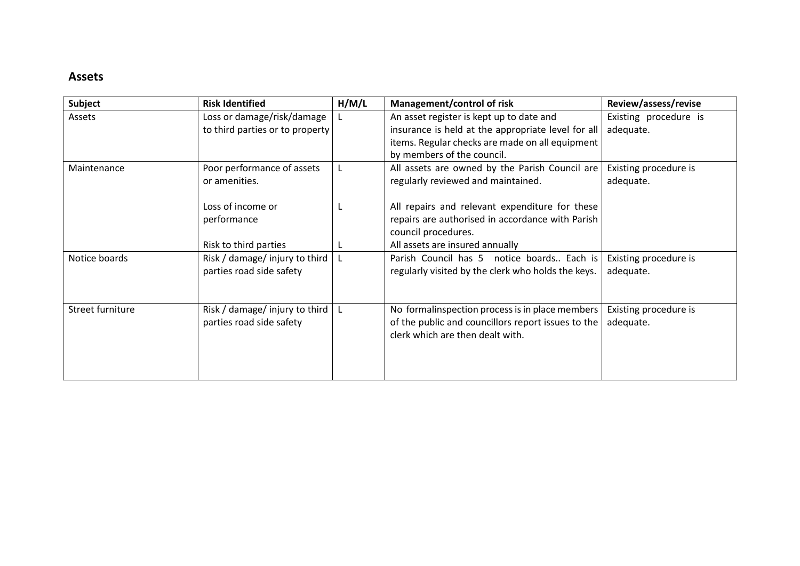## **Assets**

| Subject          | <b>Risk Identified</b>          | H/M/L | Management/control of risk                         | Review/assess/revise  |
|------------------|---------------------------------|-------|----------------------------------------------------|-----------------------|
| Assets           | Loss or damage/risk/damage      |       | An asset register is kept up to date and           | Existing procedure is |
|                  | to third parties or to property |       | insurance is held at the appropriate level for all | adequate.             |
|                  |                                 |       | items. Regular checks are made on all equipment    |                       |
|                  |                                 |       | by members of the council.                         |                       |
| Maintenance      | Poor performance of assets      |       | All assets are owned by the Parish Council are     | Existing procedure is |
|                  | or amenities.                   |       | regularly reviewed and maintained.                 | adequate.             |
|                  | Loss of income or               |       | All repairs and relevant expenditure for these     |                       |
|                  | performance                     |       | repairs are authorised in accordance with Parish   |                       |
|                  |                                 |       | council procedures.                                |                       |
|                  | Risk to third parties           |       | All assets are insured annually                    |                       |
| Notice boards    | Risk / damage/ injury to third  |       | Parish Council has 5 notice boards Each is         | Existing procedure is |
|                  | parties road side safety        |       | regularly visited by the clerk who holds the keys. | adequate.             |
|                  |                                 |       |                                                    |                       |
| Street furniture | Risk / damage/ injury to third  |       | No formalinspection process is in place members    | Existing procedure is |
|                  | parties road side safety        |       | of the public and councillors report issues to the | adequate.             |
|                  |                                 |       | clerk which are then dealt with.                   |                       |
|                  |                                 |       |                                                    |                       |
|                  |                                 |       |                                                    |                       |
|                  |                                 |       |                                                    |                       |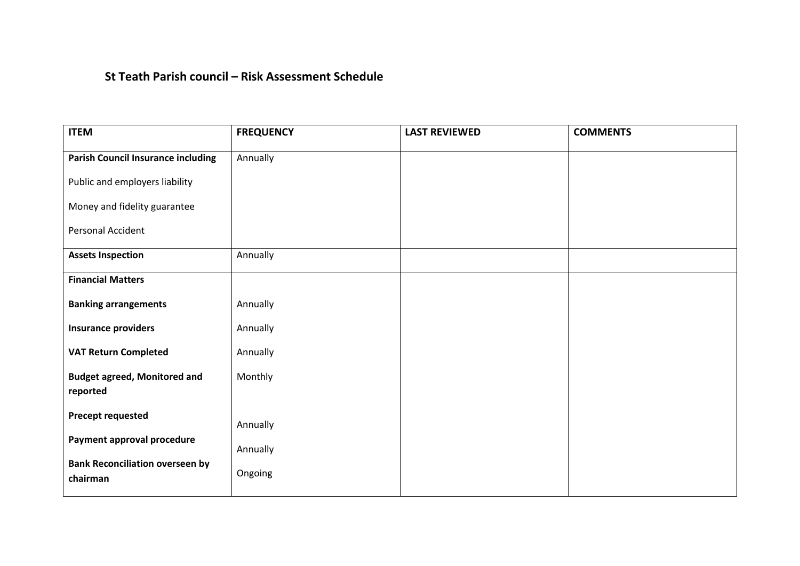## **St Teath Parish council – Risk Assessment Schedule**

| <b>ITEM</b>                                        | <b>FREQUENCY</b> | <b>LAST REVIEWED</b> | <b>COMMENTS</b> |
|----------------------------------------------------|------------------|----------------------|-----------------|
| <b>Parish Council Insurance including</b>          | Annually         |                      |                 |
| Public and employers liability                     |                  |                      |                 |
| Money and fidelity guarantee                       |                  |                      |                 |
| Personal Accident                                  |                  |                      |                 |
| <b>Assets Inspection</b>                           | Annually         |                      |                 |
| <b>Financial Matters</b>                           |                  |                      |                 |
| <b>Banking arrangements</b>                        | Annually         |                      |                 |
| <b>Insurance providers</b>                         | Annually         |                      |                 |
| <b>VAT Return Completed</b>                        | Annually         |                      |                 |
| <b>Budget agreed, Monitored and</b>                | Monthly          |                      |                 |
| reported                                           |                  |                      |                 |
| <b>Precept requested</b>                           | Annually         |                      |                 |
| Payment approval procedure                         | Annually         |                      |                 |
| <b>Bank Reconciliation overseen by</b><br>chairman | Ongoing          |                      |                 |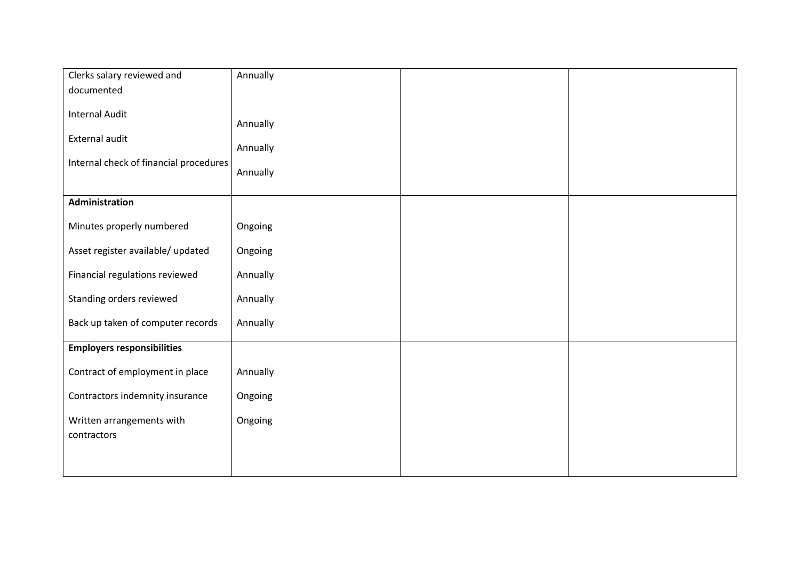| Clerks salary reviewed and             | Annually |  |
|----------------------------------------|----------|--|
| documented                             |          |  |
| <b>Internal Audit</b>                  |          |  |
|                                        | Annually |  |
| External audit                         |          |  |
| Internal check of financial procedures | Annually |  |
|                                        | Annually |  |
|                                        |          |  |
| Administration                         |          |  |
| Minutes properly numbered              | Ongoing  |  |
|                                        |          |  |
| Asset register available/ updated      | Ongoing  |  |
| Financial regulations reviewed         | Annually |  |
|                                        |          |  |
| Standing orders reviewed               | Annually |  |
| Back up taken of computer records      | Annually |  |
|                                        |          |  |
| <b>Employers responsibilities</b>      |          |  |
| Contract of employment in place        | Annually |  |
|                                        |          |  |
| Contractors indemnity insurance        | Ongoing  |  |
| Written arrangements with              | Ongoing  |  |
| contractors                            |          |  |
|                                        |          |  |
|                                        |          |  |
|                                        |          |  |